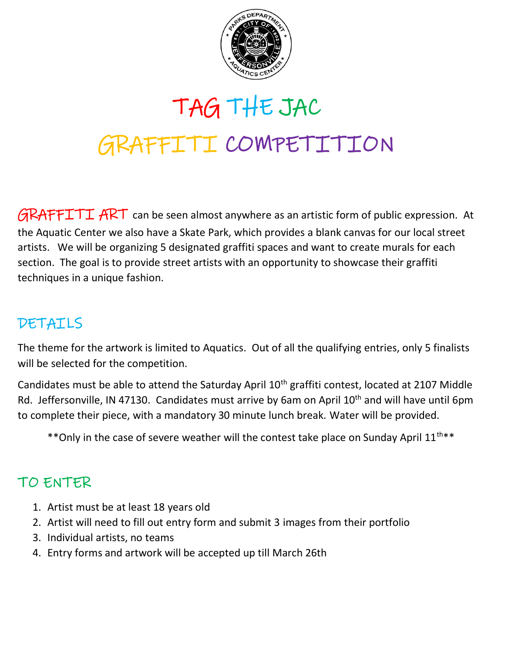

# TAG THE JAC GRAFFITI COMPETITION

 $GRAFFTTT$   $ART$  can be seen almost anywhere as an artistic form of public expression. At the Aquatic Center we also have a Skate Park, which provides a blank canvas for our local street artists. We will be organizing 5 designated graffiti spaces and want to create murals for each section. The goal is to provide street artists with an opportunity to showcase their graffiti techniques in a unique fashion.

#### DETAILS

The theme for the artwork is limited to Aquatics. Out of all the qualifying entries, only 5 finalists will be selected for the competition.

Candidates must be able to attend the Saturday April 10<sup>th</sup> graffiti contest, located at 2107 Middle Rd. Jeffersonville, IN 47130. Candidates must arrive by 6am on April 10<sup>th</sup> and will have until 6pm to complete their piece, with a mandatory 30 minute lunch break. Water will be provided.

\*\* Only in the case of severe weather will the contest take place on Sunday April 11<sup>th\*\*</sup>

#### TO ENTER

- 1. Artist must be at least 18 years old
- 2. Artist will need to fill out entry form and submit 3 images from their portfolio
- 3. Individual artists, no teams
- 4. Entry forms and artwork will be accepted up till March 26th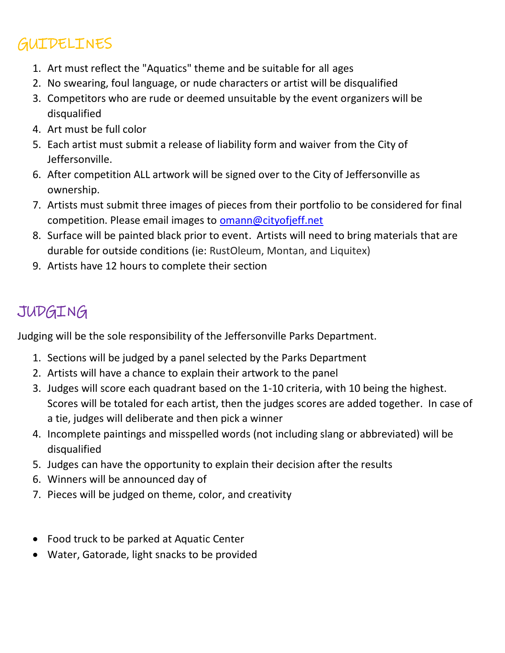## **GUIDELINES**

- 1. Art must reflect the "Aquatics" theme and be suitable for all ages
- 2. No swearing, foul language, or nude characters or artist will be disqualified
- 3. Competitors who are rude or deemed unsuitable by the event organizers will be disqualified
- 4. Art must be full color
- 5. Each artist must submit a release of liability form and waiver from the City of Jeffersonville.
- 6. After competition ALL artwork will be signed over to the City of Jeffersonville as ownership.
- 7. Artists must submit three images of pieces from their portfolio to be considered for final competition. Please email images to **[omann@cityofjeff.net](mailto:omann@cityofjeff.net)**
- 8. Surface will be painted black prior to event. Artists will need to bring materials that are durable for outside conditions (ie: RustOleum, Montan, and Liquitex)
- 9. Artists have 12 hours to complete their section

## JUDGING

Judging will be the sole responsibility of the Jeffersonville Parks Department.

- 1. Sections will be judged by a panel selected by the Parks Department
- 2. Artists will have a chance to explain their artwork to the panel
- 3. Judges will score each quadrant based on the 1-10 criteria, with 10 being the highest. Scores will be totaled for each artist, then the judges scores are added together. In case of a tie, judges will deliberate and then pick a winner
- 4. Incomplete paintings and misspelled words (not including slang or abbreviated) will be disqualified
- 5. Judges can have the opportunity to explain their decision after the results
- 6. Winners will be announced day of
- 7. Pieces will be judged on theme, color, and creativity
- Food truck to be parked at Aquatic Center
- Water, Gatorade, light snacks to be provided